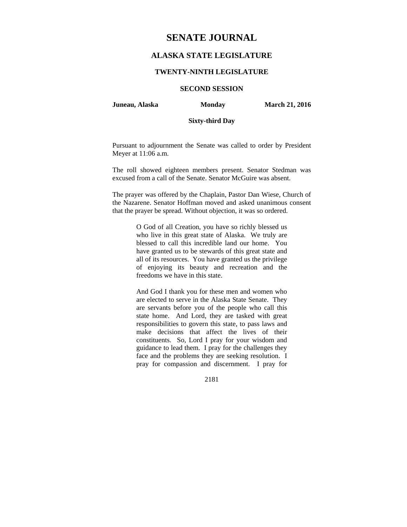# **SENATE JOURNAL**

## **ALASKA STATE LEGISLATURE**

## **TWENTY-NINTH LEGISLATURE**

## **SECOND SESSION**

**Juneau, Alaska Monday March 21, 2016** 

## **Sixty-third Day**

Pursuant to adjournment the Senate was called to order by President Meyer at 11:06 a.m.

The roll showed eighteen members present. Senator Stedman was excused from a call of the Senate. Senator McGuire was absent.

The prayer was offered by the Chaplain, Pastor Dan Wiese, Church of the Nazarene. Senator Hoffman moved and asked unanimous consent that the prayer be spread. Without objection, it was so ordered.

> O God of all Creation, you have so richly blessed us who live in this great state of Alaska. We truly are blessed to call this incredible land our home. You have granted us to be stewards of this great state and all of its resources. You have granted us the privilege of enjoying its beauty and recreation and the freedoms we have in this state.

> And God I thank you for these men and women who are elected to serve in the Alaska State Senate. They are servants before you of the people who call this state home. And Lord, they are tasked with great responsibilities to govern this state, to pass laws and make decisions that affect the lives of their constituents. So, Lord I pray for your wisdom and guidance to lead them. I pray for the challenges they face and the problems they are seeking resolution. I pray for compassion and discernment. I pray for

> > 2181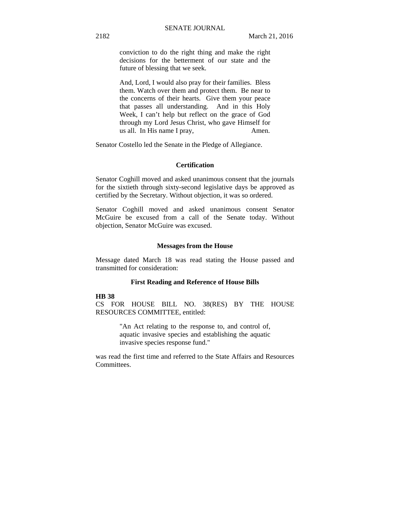conviction to do the right thing and make the right decisions for the betterment of our state and the future of blessing that we seek.

And, Lord, I would also pray for their families. Bless them. Watch over them and protect them. Be near to the concerns of their hearts. Give them your peace that passes all understanding. And in this Holy Week, I can't help but reflect on the grace of God through my Lord Jesus Christ, who gave Himself for us all. In His name I pray, Amen.

Senator Costello led the Senate in the Pledge of Allegiance.

## **Certification**

Senator Coghill moved and asked unanimous consent that the journals for the sixtieth through sixty-second legislative days be approved as certified by the Secretary. Without objection, it was so ordered.

Senator Coghill moved and asked unanimous consent Senator McGuire be excused from a call of the Senate today. Without objection, Senator McGuire was excused.

### **Messages from the House**

Message dated March 18 was read stating the House passed and transmitted for consideration:

### **First Reading and Reference of House Bills**

#### **HB 38**

CS FOR HOUSE BILL NO. 38(RES) BY THE HOUSE RESOURCES COMMITTEE, entitled:

> "An Act relating to the response to, and control of, aquatic invasive species and establishing the aquatic invasive species response fund."

was read the first time and referred to the State Affairs and Resources Committees.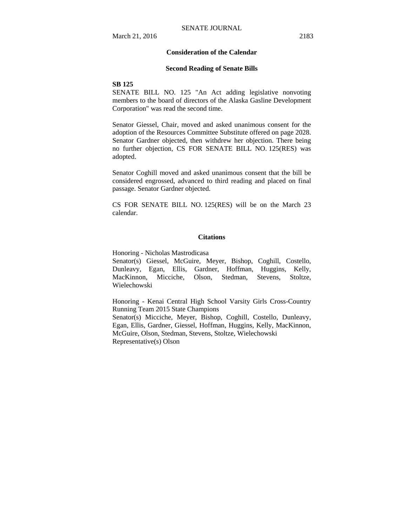## **Consideration of the Calendar**

#### **Second Reading of Senate Bills**

#### **SB 125**

SENATE BILL NO. 125 "An Act adding legislative nonvoting members to the board of directors of the Alaska Gasline Development Corporation" was read the second time.

Senator Giessel, Chair, moved and asked unanimous consent for the adoption of the Resources Committee Substitute offered on page 2028. Senator Gardner objected, then withdrew her objection. There being no further objection, CS FOR SENATE BILL NO. 125(RES) was adopted.

Senator Coghill moved and asked unanimous consent that the bill be considered engrossed, advanced to third reading and placed on final passage. Senator Gardner objected.

CS FOR SENATE BILL NO. 125(RES) will be on the March 23 calendar.

#### **Citations**

Honoring - Nicholas Mastrodicasa

Senator(s) Giessel, McGuire, Meyer, Bishop, Coghill, Costello, Dunleavy, Egan, Ellis, Gardner, Hoffman, Huggins, Kelly, MacKinnon, Micciche, Olson, Stedman, Stevens, Stoltze, Wielechowski

Honoring - Kenai Central High School Varsity Girls Cross-Country Running Team 2015 State Champions Senator(s) Micciche, Meyer, Bishop, Coghill, Costello, Dunleavy,

Egan, Ellis, Gardner, Giessel, Hoffman, Huggins, Kelly, MacKinnon, McGuire, Olson, Stedman, Stevens, Stoltze, Wielechowski Representative(s) Olson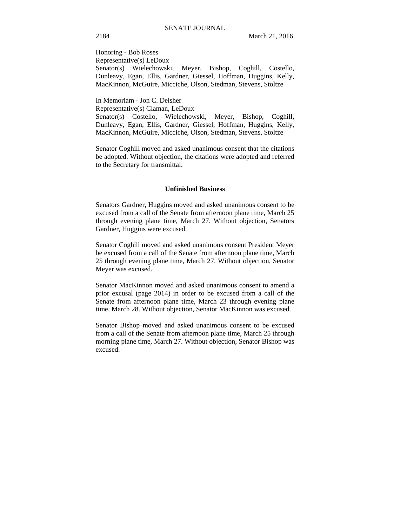Honoring - Bob Roses Representative(s) LeDoux Senator(s) Wielechowski, Meyer, Bishop, Coghill, Costello, Dunleavy, Egan, Ellis, Gardner, Giessel, Hoffman, Huggins, Kelly, MacKinnon, McGuire, Micciche, Olson, Stedman, Stevens, Stoltze

In Memoriam - Jon C. Deisher

Representative(s) Claman, LeDoux

Senator(s) Costello, Wielechowski, Meyer, Bishop, Coghill, Dunleavy, Egan, Ellis, Gardner, Giessel, Hoffman, Huggins, Kelly, MacKinnon, McGuire, Micciche, Olson, Stedman, Stevens, Stoltze

Senator Coghill moved and asked unanimous consent that the citations be adopted. Without objection, the citations were adopted and referred to the Secretary for transmittal.

#### **Unfinished Business**

Senators Gardner, Huggins moved and asked unanimous consent to be excused from a call of the Senate from afternoon plane time, March 25 through evening plane time, March 27. Without objection, Senators Gardner, Huggins were excused.

Senator Coghill moved and asked unanimous consent President Meyer be excused from a call of the Senate from afternoon plane time, March 25 through evening plane time, March 27. Without objection, Senator Meyer was excused.

Senator MacKinnon moved and asked unanimous consent to amend a prior excusal (page 2014) in order to be excused from a call of the Senate from afternoon plane time, March 23 through evening plane time, March 28. Without objection, Senator MacKinnon was excused.

Senator Bishop moved and asked unanimous consent to be excused from a call of the Senate from afternoon plane time, March 25 through morning plane time, March 27. Without objection, Senator Bishop was excused.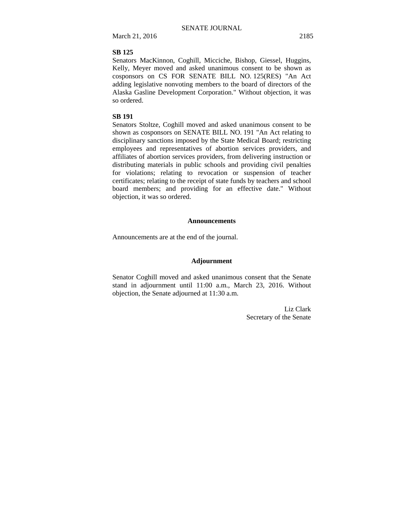March 21, 2016 2185

### **SB 125**

Senators MacKinnon, Coghill, Micciche, Bishop, Giessel, Huggins, Kelly, Meyer moved and asked unanimous consent to be shown as cosponsors on CS FOR SENATE BILL NO. 125(RES) "An Act adding legislative nonvoting members to the board of directors of the Alaska Gasline Development Corporation." Without objection, it was so ordered.

### **SB 191**

Senators Stoltze, Coghill moved and asked unanimous consent to be shown as cosponsors on SENATE BILL NO. 191 "An Act relating to disciplinary sanctions imposed by the State Medical Board; restricting employees and representatives of abortion services providers, and affiliates of abortion services providers, from delivering instruction or distributing materials in public schools and providing civil penalties for violations; relating to revocation or suspension of teacher certificates; relating to the receipt of state funds by teachers and school board members; and providing for an effective date." Without objection, it was so ordered.

#### **Announcements**

Announcements are at the end of the journal.

### **Adjournment**

Senator Coghill moved and asked unanimous consent that the Senate stand in adjournment until 11:00 a.m., March 23, 2016. Without objection, the Senate adjourned at 11:30 a.m.

> Liz Clark Secretary of the Senate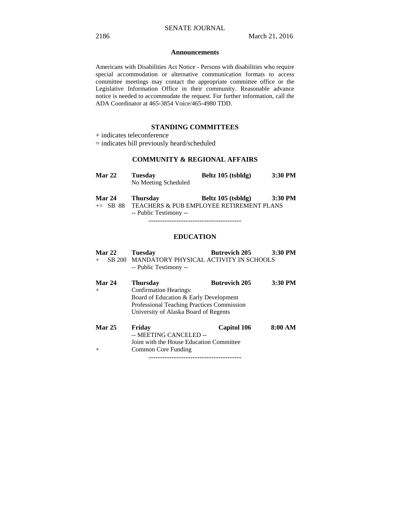#### **Announcements**

Americans with Disabilities Act Notice - Persons with disabilities who require special accommodation or alternative communication formats to access committee meetings may contact the appropriate committee office or the Legislative Information Office in their community. Reasonable advance notice is needed to accommodate the request. For further information, call the ADA Coordinator at 465-3854 Voice/465-4980 TDD.

## **STANDING COMMITTEES**

- + indicates teleconference
- = indicates bill previously heard/scheduled

## **COMMUNITY & REGIONAL AFFAIRS**

| <b>Mar 22</b>           | <b>Tuesday</b><br>No Meeting Scheduled | Beltz 105 (tsbldg)                      | 3:30 PM |
|-------------------------|----------------------------------------|-----------------------------------------|---------|
| $M_{\odot}$ $\sim$ $24$ | Thursday                               | $\mathbf{D}_{\alpha}$ lt- 105 (takleta) | 2.20 DM |

**Mar 24 Thursday Beltz 105 (tsbldg) 3:30 PM**  += SB 88 TEACHERS & PUB EMPLOYEE RETIREMENT PLANS -- Public Testimony --

----------------------------------------

## **EDUCATION**

|               | <b>Mar 22</b> | <b>Tuesday</b>                                                          | <b>Butrovich 205</b> | 3:30 PM |
|---------------|---------------|-------------------------------------------------------------------------|----------------------|---------|
|               |               | SB 200 MANDATORY PHYSICAL ACTIVITY IN SCHOOLS<br>-- Public Testimony -- |                      |         |
| <b>Mar 24</b> |               | <b>Thursday</b>                                                         | <b>Butrovich 205</b> | 3:30 PM |
|               |               | <b>Confirmation Hearings:</b>                                           |                      |         |
|               |               | Board of Education & Early Development                                  |                      |         |

 Professional Teaching Practices Commission University of Alaska Board of Regents

**Mar 25 Friday Capitol 106 8:00 AM**  -- MEETING CANCELED -- Joint with the House Education Committee + Common Core Funding ----------------------------------------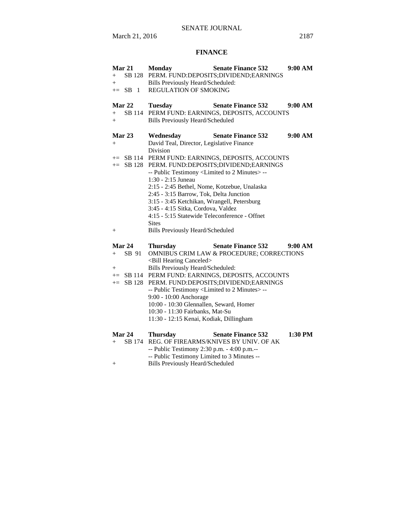## **FINANCE**

| Mar 21         | <b>Monday</b>                                                                       | <b>Senate Finance 532</b>                         | 9:00 AM |
|----------------|-------------------------------------------------------------------------------------|---------------------------------------------------|---------|
| $+$            |                                                                                     | SB 128 PERM. FUND:DEPOSITS;DIVIDEND;EARNINGS      |         |
| $+$            | Bills Previously Heard/Scheduled:                                                   |                                                   |         |
| $+=$ SB 1      | REGULATION OF SMOKING                                                               |                                                   |         |
|                |                                                                                     |                                                   |         |
| Mar 22         | <b>Tuesday</b>                                                                      | <b>Senate Finance 532</b>                         | 9:00 AM |
| SB 114<br>$+$  |                                                                                     | PERM FUND: EARNINGS, DEPOSITS, ACCOUNTS           |         |
| $+$            | <b>Bills Previously Heard/Scheduled</b>                                             |                                                   |         |
|                |                                                                                     |                                                   |         |
| Mar $23$       | Wednesday                                                                           | <b>Senate Finance 532</b>                         | 9:00 AM |
| $+$            | David Teal, Director, Legislative Finance                                           |                                                   |         |
|                | Division                                                                            |                                                   |         |
|                |                                                                                     | += SB 114 PERM FUND: EARNINGS, DEPOSITS, ACCOUNTS |         |
| $+=$ SB 128    |                                                                                     | PERM. FUND:DEPOSITS;DIVIDEND;EARNINGS             |         |
|                | -- Public Testimony <limited 2="" minutes="" to=""> --</limited>                    |                                                   |         |
|                | 1:30 - 2:15 Juneau                                                                  |                                                   |         |
|                | 2:15 - 2:45 Bethel, Nome, Kotzebue, Unalaska                                        |                                                   |         |
|                | 2:45 - 3:15 Barrow, Tok, Delta Junction                                             |                                                   |         |
|                | 3:15 - 3:45 Ketchikan, Wrangell, Petersburg                                         |                                                   |         |
|                | 3:45 - 4:15 Sitka, Cordova, Valdez<br>4:15 - 5:15 Statewide Teleconference - Offnet |                                                   |         |
|                |                                                                                     |                                                   |         |
|                | <b>Sites</b>                                                                        |                                                   |         |
| $+$            | <b>Bills Previously Heard/Scheduled</b>                                             |                                                   |         |
| Mar 24         | <b>Thursday</b>                                                                     | <b>Senate Finance 532</b>                         | 9:00 AM |
| SB 91<br>$+$   |                                                                                     | OMNIBUS CRIM LAW & PROCEDURE; CORRECTIONS         |         |
|                | <bill canceled="" hearing=""></bill>                                                |                                                   |         |
| $^{+}$         | Bills Previously Heard/Scheduled:                                                   |                                                   |         |
|                |                                                                                     | += SB 114 PERM FUND: EARNINGS, DEPOSITS, ACCOUNTS |         |
| SB 128<br>$+=$ |                                                                                     | PERM. FUND:DEPOSITS;DIVIDEND;EARNINGS             |         |
|                | -- Public Testimony <limited 2="" minutes="" to="">--</limited>                     |                                                   |         |
|                | 9:00 - 10:00 Anchorage                                                              |                                                   |         |
|                | 10:00 - 10:30 Glennallen, Seward, Homer                                             |                                                   |         |
|                | 10:30 - 11:30 Fairbanks, Mat-Su                                                     |                                                   |         |
|                | 11:30 - 12:15 Kenai, Kodiak, Dillingham                                             |                                                   |         |
| Mar 24         |                                                                                     | <b>Senate Finance 532</b>                         | 1:30 PM |
|                | <b>Thursday</b>                                                                     |                                                   |         |

| $+$ | SB 174 REG. OF FIREARMS/KNIVES BY UNIV. OF AK |  |
|-----|-----------------------------------------------|--|

-- Public Testimony 2:30 p.m. - 4:00 p.m.--

- -- Public Testimony Limited to 3 Minutes --
- + Bills Previously Heard/Scheduled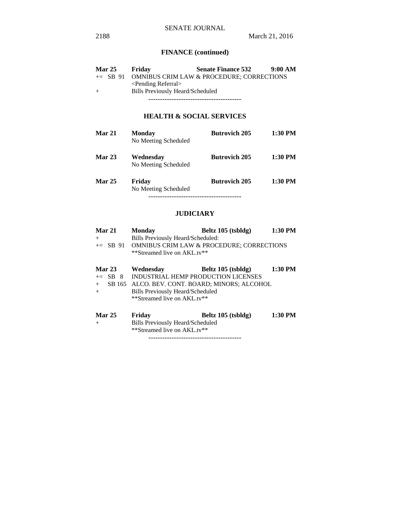# **FINANCE (continued)**

| <b>Mar 25</b> | Friday                                  | <b>Senate Finance 532</b>                             | 9:00 AM |
|---------------|-----------------------------------------|-------------------------------------------------------|---------|
|               |                                         | $\pm$ SB 91 OMNIBUS CRIM LAW & PROCEDURE: CORRECTIONS |         |
|               | $\le$ Pending Referral $>$              |                                                       |         |
| $+$           | <b>Bills Previously Heard/Scheduled</b> |                                                       |         |
|               |                                         |                                                       |         |

# **HEALTH & SOCIAL SERVICES**

| <b>Mar 21</b> | <b>Monday</b><br>No Meeting Scheduled | <b>Butrovich 205</b> | $1:30$ PM |
|---------------|---------------------------------------|----------------------|-----------|
| <b>Mar 23</b> | Wednesday<br>No Meeting Scheduled     | <b>Butrovich 205</b> | 1:30 PM   |
| <b>Mar 25</b> | Friday<br>No Meeting Scheduled        | <b>Butrovich 205</b> | $1:30$ PM |

## **JUDICIARY**

| Mar 21        | <b>Monday</b>                           | Beltz 105 (tsbldg)                                   | 1:30 PM |
|---------------|-----------------------------------------|------------------------------------------------------|---------|
| $+$           | Bills Previously Heard/Scheduled:       |                                                      |         |
| $\pm$ SB 91   |                                         | <b>OMNIBUS CRIM LAW &amp; PROCEDURE; CORRECTIONS</b> |         |
|               | **Streamed live on AKL.tv**             |                                                      |         |
| <b>Mar 23</b> | Wednesday                               | Beltz 105 (tsbldg)                                   | 1:30 PM |
| $+=$ SB 8     | INDUSTRIAL HEMP PRODUCTION LICENSES     |                                                      |         |
|               |                                         |                                                      |         |
| $+$           |                                         | SB 165 ALCO. BEV. CONT. BOARD; MINORS; ALCOHOL       |         |
| $+$           | <b>Bills Previously Heard/Scheduled</b> |                                                      |         |
|               | **Streamed live on AKL.tv**             |                                                      |         |
| <b>Mar 25</b> | Friday                                  | Beltz 105 (tsbldg)                                   | 1:30 PM |
| $+$           | <b>Bills Previously Heard/Scheduled</b> |                                                      |         |
|               |                                         |                                                      |         |
|               | **Streamed live on AKL.tv**             |                                                      |         |

----------------------------------------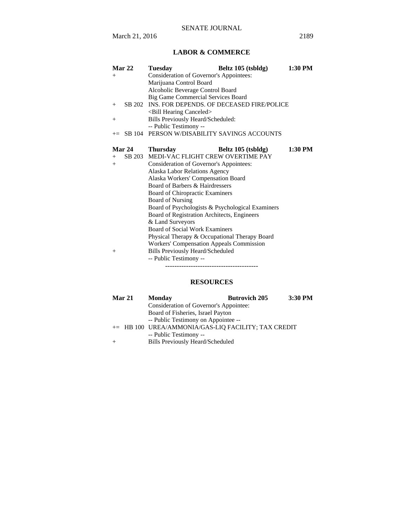# **LABOR & COMMERCE**

| Mar 22        | <b>Tuesday</b>                                   | Beltz 105 (tsbldg) | 1:30 PM   |
|---------------|--------------------------------------------------|--------------------|-----------|
| $^{+}$        | Consideration of Governor's Appointees:          |                    |           |
|               | Marijuana Control Board                          |                    |           |
|               | Alcoholic Beverage Control Board                 |                    |           |
|               | <b>Big Game Commercial Services Board</b>        |                    |           |
| $+$           | SB 202 INS. FOR DEPENDS. OF DECEASED FIRE/POLICE |                    |           |
|               | <bill canceled="" hearing=""></bill>             |                    |           |
| $^{+}$        | Bills Previously Heard/Scheduled:                |                    |           |
|               | -- Public Testimony --                           |                    |           |
|               | $+=$ SB 104 PERSON W/DISABILITY SAVINGS ACCOUNTS |                    |           |
|               |                                                  |                    |           |
| Mar 24        | <b>Thursday</b>                                  | Beltz 105 (tsbldg) | $1:30$ PM |
| SB 203<br>$+$ | MEDI-VAC FLIGHT CREW OVERTIME PAY                |                    |           |
| $+$           | <b>Consideration of Governor's Appointees:</b>   |                    |           |
|               | Alaska Labor Relations Agency                    |                    |           |
|               | Alaska Workers' Compensation Board               |                    |           |
|               | Board of Barbers & Hairdressers                  |                    |           |
|               | Board of Chiropractic Examiners                  |                    |           |
|               | <b>Board of Nursing</b>                          |                    |           |
|               | Board of Psychologists & Psychological Examiners |                    |           |
|               | Board of Registration Architects, Engineers      |                    |           |
|               | & Land Surveyors                                 |                    |           |
|               | Board of Social Work Examiners                   |                    |           |
|               | Physical Therapy & Occupational Therapy Board    |                    |           |
|               | <b>Workers' Compensation Appeals Commission</b>  |                    |           |
| $+$           | <b>Bills Previously Heard/Scheduled</b>          |                    |           |
|               | -- Public Testimony --                           |                    |           |
|               |                                                  |                    |           |

## **RESOURCES**

| <b>Mar 21</b> |  | <b>Monday</b>                                       | <b>Butrovich 205</b> | 3:30 PM |
|---------------|--|-----------------------------------------------------|----------------------|---------|
|               |  | Consideration of Governor's Appointee:              |                      |         |
|               |  | Board of Fisheries, Israel Payton                   |                      |         |
|               |  | -- Public Testimony on Appointee --                 |                      |         |
|               |  | += HB 100 UREA/AMMONIA/GAS-LIO FACILITY; TAX CREDIT |                      |         |
|               |  | -- Public Testimony --                              |                      |         |
|               |  | <b>Bills Previously Heard/Scheduled</b>             |                      |         |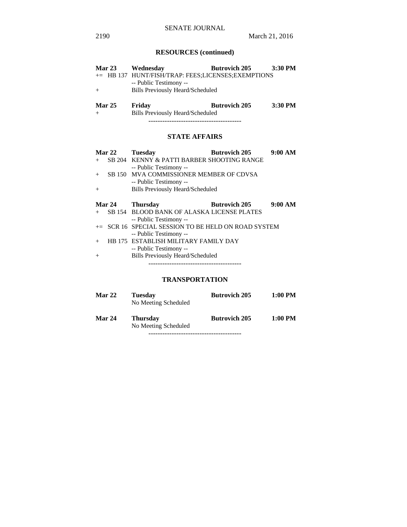# **RESOURCES (continued)**

| <b>Mar 23</b>        | Wednesday                                                                    | <b>Butrovich 205</b> | 3:30 PM |
|----------------------|------------------------------------------------------------------------------|----------------------|---------|
|                      | += HB 137 HUNT/FISH/TRAP: FEES;LICENSES;EXEMPTIONS<br>-- Public Testimony -- |                      |         |
| $+$                  | <b>Bills Previously Heard/Scheduled</b>                                      |                      |         |
|                      |                                                                              |                      |         |
| <b>Mar 25</b><br>$+$ | Friday<br><b>Bills Previously Heard/Scheduled</b>                            | <b>Butrovich 205</b> | 3:30 PM |

----------------------------------------

# **STATE AFFAIRS**

|     | Mar 22 | <b>Tuesday</b>                                      | <b>Butrovich 205</b> | 9:00 AM |
|-----|--------|-----------------------------------------------------|----------------------|---------|
|     |        | SB 204 KENNY & PATTI BARBER SHOOTING RANGE          |                      |         |
|     |        | -- Public Testimony --                              |                      |         |
| $+$ |        | SB 150 MVA COMMISSIONER MEMBER OF CDVSA             |                      |         |
|     |        | -- Public Testimony --                              |                      |         |
| $+$ |        | <b>Bills Previously Heard/Scheduled</b>             |                      |         |
|     |        |                                                     |                      |         |
|     |        |                                                     |                      |         |
|     | Mar 24 | <b>Thursday</b>                                     | <b>Butrovich 205</b> | 9:00 AM |
|     |        | SB 154 BLOOD BANK OF ALASKA LICENSE PLATES          |                      |         |
|     |        | -- Public Testimony --                              |                      |         |
|     |        | += SCR 16 SPECIAL SESSION TO BE HELD ON ROAD SYSTEM |                      |         |
|     |        | -- Public Testimony --                              |                      |         |

-- Public Testimony --

+ Bills Previously Heard/Scheduled ----------------------------------------

## **TRANSPORTATION**

| <b>Mar 22</b> | <b>Tuesday</b><br>No Meeting Scheduled  | <b>Butrovich 205</b> | 1:00 PM |
|---------------|-----------------------------------------|----------------------|---------|
| <b>Mar 24</b> | <b>Thursday</b><br>No Meeting Scheduled | <b>Butrovich 205</b> | 1:00 PM |
|               |                                         |                      |         |